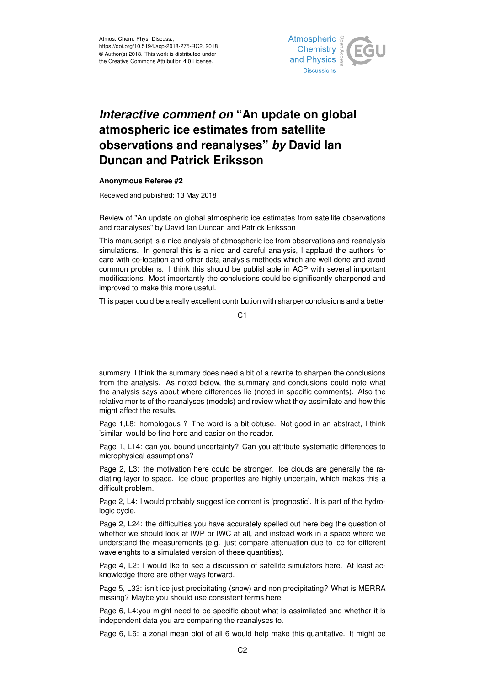

## *Interactive comment on* **"An update on global atmospheric ice estimates from satellite observations and reanalyses"** *by* **David Ian Duncan and Patrick Eriksson**

## **Anonymous Referee #2**

Received and published: 13 May 2018

Review of "An update on global atmospheric ice estimates from satellite observations and reanalyses" by David Ian Duncan and Patrick Eriksson

This manuscript is a nice analysis of atmospheric ice from observations and reanalysis simulations. In general this is a nice and careful analysis, I applaud the authors for care with co-location and other data analysis methods which are well done and avoid common problems. I think this should be publishable in ACP with several important modifications. Most importantly the conclusions could be significantly sharpened and improved to make this more useful.

This paper could be a really excellent contribution with sharper conclusions and a better

C<sub>1</sub>

summary. I think the summary does need a bit of a rewrite to sharpen the conclusions from the analysis. As noted below, the summary and conclusions could note what the analysis says about where differences lie (noted in specific comments). Also the relative merits of the reanalyses (models) and review what they assimilate and how this might affect the results.

Page 1,L8: homologous ? The word is a bit obtuse. Not good in an abstract, I think 'similar' would be fine here and easier on the reader.

Page 1, L14: can you bound uncertainty? Can you attribute systematic differences to microphysical assumptions?

Page 2, L3: the motivation here could be stronger. Ice clouds are generally the radiating layer to space. Ice cloud properties are highly uncertain, which makes this a difficult problem.

Page 2, L4: I would probably suggest ice content is 'prognostic'. It is part of the hydrologic cycle.

Page 2, L24: the difficulties you have accurately spelled out here beg the question of whether we should look at IWP or IWC at all, and instead work in a space where we understand the measurements (e.g. just compare attenuation due to ice for different wavelenghts to a simulated version of these quantities).

Page 4, L2: I would Ike to see a discussion of satellite simulators here. At least acknowledge there are other ways forward.

Page 5, L33: isn't ice just precipitating (snow) and non precipitating? What is MERRA missing? Maybe you should use consistent terms here.

Page 6, L4:you might need to be specific about what is assimilated and whether it is independent data you are comparing the reanalyses to.

Page 6, L6: a zonal mean plot of all 6 would help make this quanitative. It might be